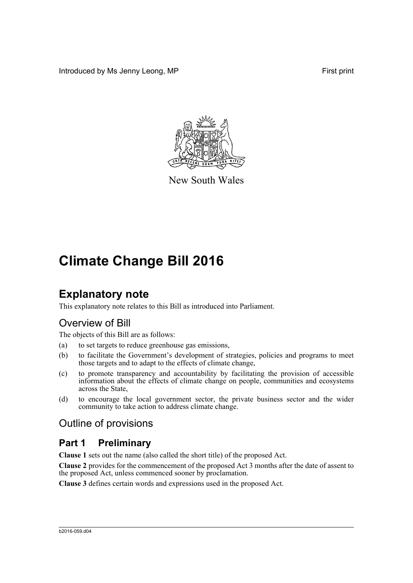Introduced by Ms Jenny Leong, MP First print



New South Wales

# **Climate Change Bill 2016**

# **Explanatory note**

This explanatory note relates to this Bill as introduced into Parliament.

# Overview of Bill

The objects of this Bill are as follows:

- (a) to set targets to reduce greenhouse gas emissions,
- (b) to facilitate the Government's development of strategies, policies and programs to meet those targets and to adapt to the effects of climate change,
- (c) to promote transparency and accountability by facilitating the provision of accessible information about the effects of climate change on people, communities and ecosystems across the State,
- (d) to encourage the local government sector, the private business sector and the wider community to take action to address climate change.

## Outline of provisions

# **Part 1 Preliminary**

**Clause 1** sets out the name (also called the short title) of the proposed Act.

**Clause 2** provides for the commencement of the proposed Act 3 months after the date of assent to the proposed Act, unless commenced sooner by proclamation.

**Clause 3** defines certain words and expressions used in the proposed Act.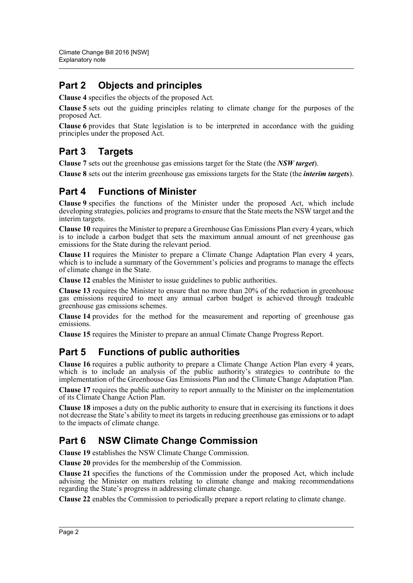## **Part 2 Objects and principles**

**Clause 4** specifies the objects of the proposed Act.

**Clause 5** sets out the guiding principles relating to climate change for the purposes of the proposed Act.

**Clause 6** provides that State legislation is to be interpreted in accordance with the guiding principles under the proposed Act.

# **Part 3 Targets**

**Clause 7** sets out the greenhouse gas emissions target for the State (the *NSW target*).

**Clause 8** sets out the interim greenhouse gas emissions targets for the State (the *interim targets*).

## **Part 4 Functions of Minister**

**Clause 9** specifies the functions of the Minister under the proposed Act, which include developing strategies, policies and programs to ensure that the State meets the NSW target and the interim targets.

**Clause 10** requires the Minister to prepare a Greenhouse Gas Emissions Plan every 4 years, which is to include a carbon budget that sets the maximum annual amount of net greenhouse gas emissions for the State during the relevant period.

**Clause 11** requires the Minister to prepare a Climate Change Adaptation Plan every 4 years, which is to include a summary of the Government's policies and programs to manage the effects of climate change in the State.

**Clause 12** enables the Minister to issue guidelines to public authorities.

**Clause 13** requires the Minister to ensure that no more than 20% of the reduction in greenhouse gas emissions required to meet any annual carbon budget is achieved through tradeable greenhouse gas emissions schemes.

**Clause 14** provides for the method for the measurement and reporting of greenhouse gas emissions.

**Clause 15** requires the Minister to prepare an annual Climate Change Progress Report.

## **Part 5 Functions of public authorities**

**Clause 16** requires a public authority to prepare a Climate Change Action Plan every 4 years, which is to include an analysis of the public authority's strategies to contribute to the implementation of the Greenhouse Gas Emissions Plan and the Climate Change Adaptation Plan.

**Clause 17** requires the public authority to report annually to the Minister on the implementation of its Climate Change Action Plan.

**Clause 18** imposes a duty on the public authority to ensure that in exercising its functions it does not decrease the State's ability to meet its targets in reducing greenhouse gas emissions or to adapt to the impacts of climate change.

## **Part 6 NSW Climate Change Commission**

**Clause 19** establishes the NSW Climate Change Commission.

**Clause 20** provides for the membership of the Commission.

**Clause 21** specifies the functions of the Commission under the proposed Act, which include advising the Minister on matters relating to climate change and making recommendations regarding the State's progress in addressing climate change.

**Clause 22** enables the Commission to periodically prepare a report relating to climate change.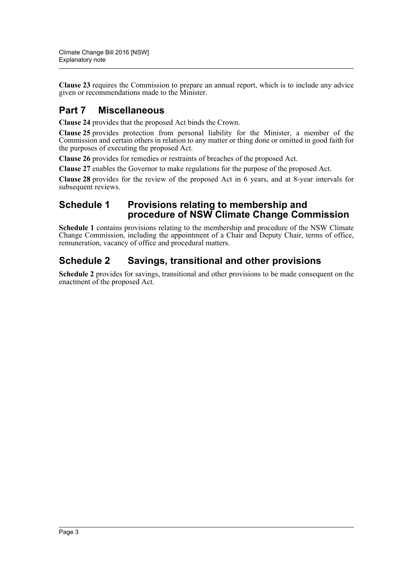**Clause 23** requires the Commission to prepare an annual report, which is to include any advice given or recommendations made to the Minister.

## **Part 7 Miscellaneous**

**Clause 24** provides that the proposed Act binds the Crown.

**Clause 25** provides protection from personal liability for the Minister, a member of the Commission and certain others in relation to any matter or thing done or omitted in good faith for the purposes of executing the proposed Act.

**Clause 26** provides for remedies or restraints of breaches of the proposed Act.

**Clause 27** enables the Governor to make regulations for the purpose of the proposed Act.

**Clause 28** provides for the review of the proposed Act in 6 years, and at 8-year intervals for subsequent reviews.

### **Schedule 1 Provisions relating to membership and procedure of NSW Climate Change Commission**

**Schedule 1** contains provisions relating to the membership and procedure of the NSW Climate Change Commission, including the appointment of a Chair and Deputy Chair, terms of office, remuneration, vacancy of office and procedural matters.

## **Schedule 2 Savings, transitional and other provisions**

**Schedule 2** provides for savings, transitional and other provisions to be made consequent on the enactment of the proposed Act.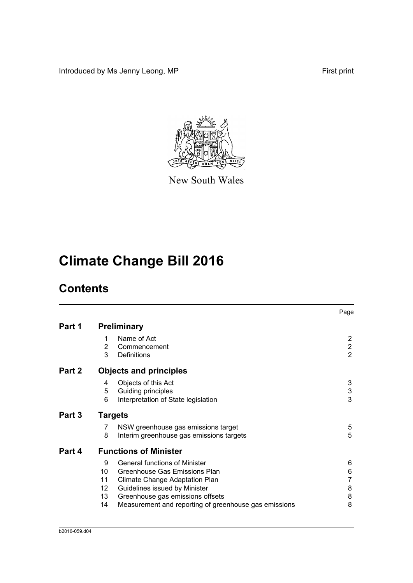Introduced by Ms Jenny Leong, MP First print



New South Wales

# **Climate Change Bill 2016**

# **Contents**

|        |                                 |                                                                                                                                                                                                                                       | Page                                  |
|--------|---------------------------------|---------------------------------------------------------------------------------------------------------------------------------------------------------------------------------------------------------------------------------------|---------------------------------------|
| Part 1 |                                 | <b>Preliminary</b>                                                                                                                                                                                                                    |                                       |
|        | 1<br>2<br>3                     | Name of Act<br>Commencement<br>Definitions                                                                                                                                                                                            | 2<br>$\overline{c}$<br>$\overline{2}$ |
| Part 2 |                                 | <b>Objects and principles</b>                                                                                                                                                                                                         |                                       |
|        | 4<br>5<br>6                     | Objects of this Act<br>Guiding principles<br>Interpretation of State legislation                                                                                                                                                      | 3<br>3<br>3                           |
| Part 3 |                                 |                                                                                                                                                                                                                                       |                                       |
|        | 7<br>8                          | NSW greenhouse gas emissions target<br>Interim greenhouse gas emissions targets                                                                                                                                                       | 5<br>5                                |
| Part 4 |                                 | <b>Functions of Minister</b>                                                                                                                                                                                                          |                                       |
|        | 9<br>10<br>11<br>12<br>13<br>14 | <b>General functions of Minister</b><br>Greenhouse Gas Emissions Plan<br>Climate Change Adaptation Plan<br>Guidelines issued by Minister<br>Greenhouse gas emissions offsets<br>Measurement and reporting of greenhouse gas emissions | 6<br>6<br>7<br>8<br>8<br>8            |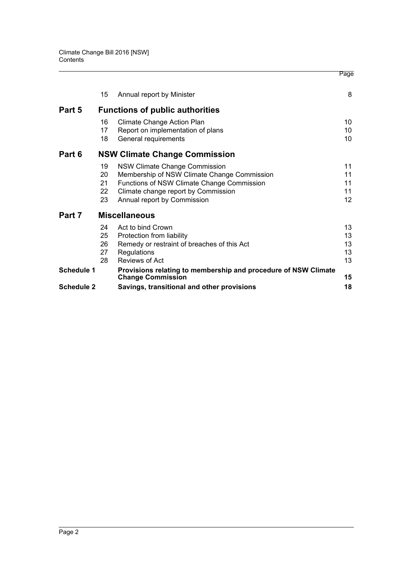|                   |    |                                                                                            | Page              |
|-------------------|----|--------------------------------------------------------------------------------------------|-------------------|
|                   | 15 | Annual report by Minister                                                                  | 8                 |
| Part 5            |    | <b>Functions of public authorities</b>                                                     |                   |
|                   | 16 | Climate Change Action Plan                                                                 | 10                |
|                   | 17 | Report on implementation of plans                                                          | 10                |
|                   | 18 | General requirements                                                                       | 10                |
| Part 6            |    | <b>NSW Climate Change Commission</b>                                                       |                   |
|                   | 19 | <b>NSW Climate Change Commission</b>                                                       | 11                |
|                   | 20 | Membership of NSW Climate Change Commission                                                | 11                |
|                   | 21 | Functions of NSW Climate Change Commission                                                 | 11                |
|                   | 22 | Climate change report by Commission                                                        | 11                |
|                   | 23 | Annual report by Commission                                                                | $12 \overline{ }$ |
| Part 7            |    | <b>Miscellaneous</b>                                                                       |                   |
|                   | 24 | Act to bind Crown                                                                          | 13                |
|                   | 25 | Protection from liability                                                                  | 13                |
|                   | 26 | Remedy or restraint of breaches of this Act                                                | 13                |
|                   | 27 | Regulations                                                                                | 13                |
|                   | 28 | Reviews of Act                                                                             | 13                |
| <b>Schedule 1</b> |    | Provisions relating to membership and procedure of NSW Climate<br><b>Change Commission</b> | 15                |
| <b>Schedule 2</b> |    | Savings, transitional and other provisions                                                 | 18                |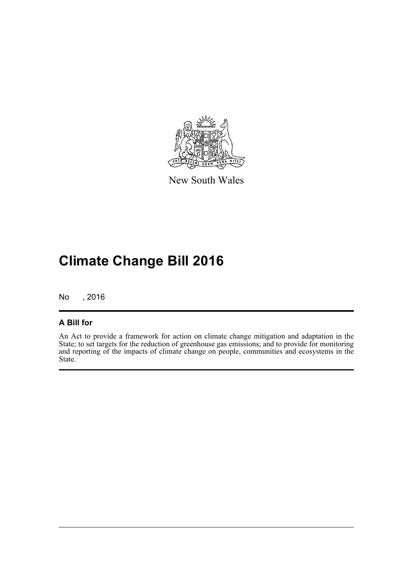

New South Wales

# **Climate Change Bill 2016**

No , 2016

### **A Bill for**

An Act to provide a framework for action on climate change mitigation and adaptation in the State; to set targets for the reduction of greenhouse gas emissions; and to provide for monitoring and reporting of the impacts of climate change on people, communities and ecosystems in the State.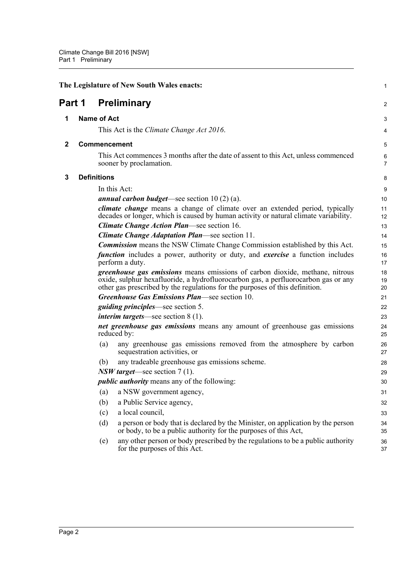<span id="page-6-3"></span><span id="page-6-2"></span><span id="page-6-1"></span><span id="page-6-0"></span>

|        | The Legislature of New South Wales enacts:                                                                                                                                                                                                                | $\mathbf{1}$   |
|--------|-----------------------------------------------------------------------------------------------------------------------------------------------------------------------------------------------------------------------------------------------------------|----------------|
| Part 1 | <b>Preliminary</b>                                                                                                                                                                                                                                        | 2              |
| 1      | <b>Name of Act</b>                                                                                                                                                                                                                                        | 3              |
|        | This Act is the <i>Climate Change Act 2016</i> .                                                                                                                                                                                                          | 4              |
| 2      | <b>Commencement</b>                                                                                                                                                                                                                                       | $\overline{5}$ |
|        | This Act commences 3 months after the date of assent to this Act, unless commenced<br>sooner by proclamation.                                                                                                                                             | 6<br>7         |
| 3      | <b>Definitions</b>                                                                                                                                                                                                                                        | 8              |
|        | In this Act:                                                                                                                                                                                                                                              | 9              |
|        | <i>annual carbon budget</i> —see section $10(2)(a)$ .                                                                                                                                                                                                     | 10             |
|        | <i>climate change</i> means a change of climate over an extended period, typically<br>decades or longer, which is caused by human activity or natural climate variability.                                                                                | 11<br>12       |
|        | <b>Climate Change Action Plan—see section 16.</b>                                                                                                                                                                                                         | 13             |
|        | <b>Climate Change Adaptation Plan—see section 11.</b>                                                                                                                                                                                                     | 14             |
|        | <b>Commission</b> means the NSW Climate Change Commission established by this Act.                                                                                                                                                                        | 15             |
|        | <i>function</i> includes a power, authority or duty, and <i>exercise</i> a function includes<br>perform a duty.                                                                                                                                           | 16<br>17       |
|        | <i>greenhouse gas emissions</i> means emissions of carbon dioxide, methane, nitrous<br>oxide, sulphur hexafluoride, a hydrofluorocarbon gas, a perfluorocarbon gas or any<br>other gas prescribed by the regulations for the purposes of this definition. | 18<br>19<br>20 |
|        | Greenhouse Gas Emissions Plan—see section 10.                                                                                                                                                                                                             | 21             |
|        | <i>guiding principles</i> —see section 5.                                                                                                                                                                                                                 | 22             |
|        | <i>interim targets</i> —see section $8(1)$ .                                                                                                                                                                                                              | 23             |
|        | net greenhouse gas emissions means any amount of greenhouse gas emissions<br>reduced by:                                                                                                                                                                  | 24<br>25       |
|        | any greenhouse gas emissions removed from the atmosphere by carbon<br>(a)<br>sequestration activities, or                                                                                                                                                 | 26<br>27       |
|        | any tradeable greenhouse gas emissions scheme.<br>(b)                                                                                                                                                                                                     | 28             |
|        | $NSW$ target—see section 7 (1).                                                                                                                                                                                                                           | 29             |
|        | <i>public authority</i> means any of the following:                                                                                                                                                                                                       | 30             |
|        | a NSW government agency,<br>(a)                                                                                                                                                                                                                           | 31             |
|        | (b)<br>a Public Service agency,                                                                                                                                                                                                                           | 32             |
|        | a local council,<br>(c)                                                                                                                                                                                                                                   | 33             |
|        | (d)<br>a person or body that is declared by the Minister, on application by the person<br>or body, to be a public authority for the purposes of this Act,                                                                                                 | 34<br>35       |
|        | any other person or body prescribed by the regulations to be a public authority<br>(e)<br>for the purposes of this Act.                                                                                                                                   | 36<br>37       |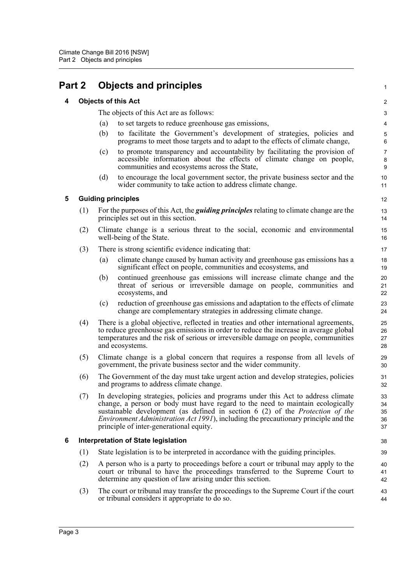## <span id="page-7-1"></span><span id="page-7-0"></span>**Part 2 Objects and principles**

#### **4 Objects of this Act**

The objects of this Act are as follows:

- (a) to set targets to reduce greenhouse gas emissions,
- (b) to facilitate the Government's development of strategies, policies and programs to meet those targets and to adapt to the effects of climate change,

1

- (c) to promote transparency and accountability by facilitating the provision of accessible information about the effects of climate change on people, communities and ecosystems across the State,
- (d) to encourage the local government sector, the private business sector and the wider community to take action to address climate change.

#### <span id="page-7-2"></span>**5 Guiding principles**

- (1) For the purposes of this Act, the *guiding principles* relating to climate change are the principles set out in this section.
- (2) Climate change is a serious threat to the social, economic and environmental well-being of the State.
- (3) There is strong scientific evidence indicating that:
	- (a) climate change caused by human activity and greenhouse gas emissions has a significant effect on people, communities and ecosystems, and
	- (b) continued greenhouse gas emissions will increase climate change and the threat of serious or irreversible damage on people, communities and ecosystems, and
	- (c) reduction of greenhouse gas emissions and adaptation to the effects of climate change are complementary strategies in addressing climate change.
- (4) There is a global objective, reflected in treaties and other international agreements, to reduce greenhouse gas emissions in order to reduce the increase in average global temperatures and the risk of serious or irreversible damage on people, communities and ecosystems.
- (5) Climate change is a global concern that requires a response from all levels of government, the private business sector and the wider community.
- (6) The Government of the day must take urgent action and develop strategies, policies and programs to address climate change.
- (7) In developing strategies, policies and programs under this Act to address climate change, a person or body must have regard to the need to maintain ecologically sustainable development (as defined in section 6 (2) of the *Protection of the Environment Administration Act 1991*), including the precautionary principle and the principle of inter-generational equity.

#### <span id="page-7-3"></span>**6 Interpretation of State legislation**

- (1) State legislation is to be interpreted in accordance with the guiding principles.
- (2) A person who is a party to proceedings before a court or tribunal may apply to the court or tribunal to have the proceedings transferred to the Supreme Court to determine any question of law arising under this section.
- (3) The court or tribunal may transfer the proceedings to the Supreme Court if the court or tribunal considers it appropriate to do so.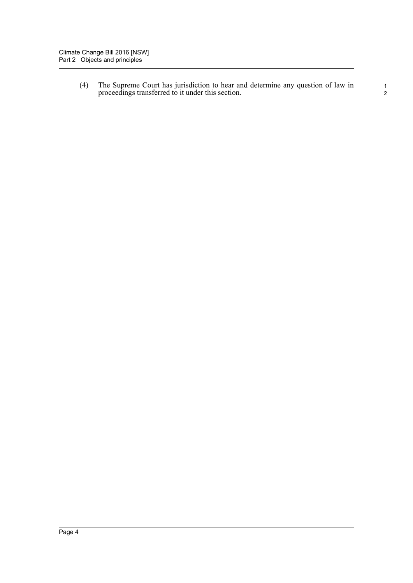(4) The Supreme Court has jurisdiction to hear and determine any question of law in proceedings transferred to it under this section.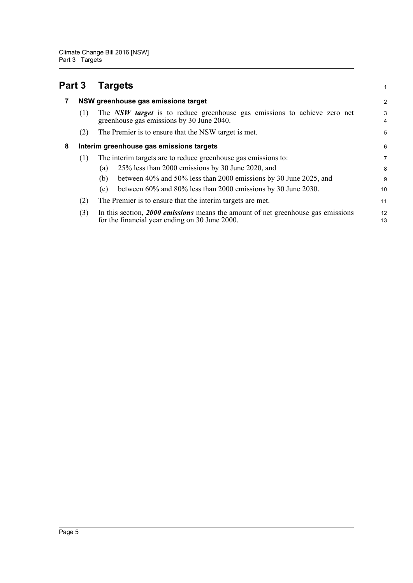<span id="page-9-2"></span><span id="page-9-1"></span><span id="page-9-0"></span>

| Part 3 |     | <b>Targets</b>                                                                                                                       | 1                   |  |  |  |  |
|--------|-----|--------------------------------------------------------------------------------------------------------------------------------------|---------------------|--|--|--|--|
|        |     | NSW greenhouse gas emissions target                                                                                                  | $\overline{2}$      |  |  |  |  |
|        | (1) | The NSW target is to reduce greenhouse gas emissions to achieve zero net<br>greenhouse gas emissions by 30 June 2040.                | 3<br>$\overline{4}$ |  |  |  |  |
|        | (2) | The Premier is to ensure that the NSW target is met.                                                                                 | 5                   |  |  |  |  |
| 8      |     | Interim greenhouse gas emissions targets                                                                                             |                     |  |  |  |  |
|        | (1) | The interim targets are to reduce greenhouse gas emissions to:                                                                       | 7                   |  |  |  |  |
|        |     | 25% less than 2000 emissions by 30 June 2020, and<br>(a)                                                                             | 8                   |  |  |  |  |
|        |     | between 40% and 50% less than 2000 emissions by 30 June 2025, and<br>(b)                                                             | 9                   |  |  |  |  |
|        |     | between 60% and 80% less than 2000 emissions by 30 June 2030.<br>(c)                                                                 | 10                  |  |  |  |  |
|        | (2) | The Premier is to ensure that the interim targets are met.                                                                           | 11                  |  |  |  |  |
|        | (3) | In this section, $2000$ emissions means the amount of net greenhouse gas emissions<br>for the financial year ending on 30 June 2000. | 12<br>13            |  |  |  |  |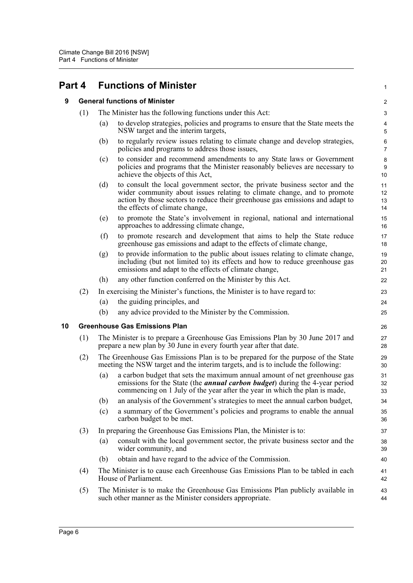# <span id="page-10-1"></span><span id="page-10-0"></span>**Part 4 Functions of Minister**

#### **9 General functions of Minister**

- (1) The Minister has the following functions under this Act:
	- (a) to develop strategies, policies and programs to ensure that the State meets the NSW target and the interim targets,

1

- (b) to regularly review issues relating to climate change and develop strategies, policies and programs to address those issues,
- (c) to consider and recommend amendments to any State laws or Government policies and programs that the Minister reasonably believes are necessary to achieve the objects of this Act,
- (d) to consult the local government sector, the private business sector and the wider community about issues relating to climate change, and to promote action by those sectors to reduce their greenhouse gas emissions and adapt to the effects of climate change,
- (e) to promote the State's involvement in regional, national and international approaches to addressing climate change,
- (f) to promote research and development that aims to help the State reduce greenhouse gas emissions and adapt to the effects of climate change,
- (g) to provide information to the public about issues relating to climate change, including (but not limited to) its effects and how to reduce greenhouse gas emissions and adapt to the effects of climate change,
- (h) any other function conferred on the Minister by this Act.
- (2) In exercising the Minister's functions, the Minister is to have regard to:
	- (a) the guiding principles, and
	- (b) any advice provided to the Minister by the Commission.

#### <span id="page-10-2"></span>**10 Greenhouse Gas Emissions Plan**

- (1) The Minister is to prepare a Greenhouse Gas Emissions Plan by 30 June 2017 and prepare a new plan by 30 June in every fourth year after that date.
- (2) The Greenhouse Gas Emissions Plan is to be prepared for the purpose of the State meeting the NSW target and the interim targets, and is to include the following:
	- (a) a carbon budget that sets the maximum annual amount of net greenhouse gas emissions for the State (the *annual carbon budget*) during the 4-year period commencing on 1 July of the year after the year in which the plan is made,
	- (b) an analysis of the Government's strategies to meet the annual carbon budget,
	- (c) a summary of the Government's policies and programs to enable the annual carbon budget to be met.
- (3) In preparing the Greenhouse Gas Emissions Plan, the Minister is to:
	- (a) consult with the local government sector, the private business sector and the wider community, and
	- (b) obtain and have regard to the advice of the Commission.
- (4) The Minister is to cause each Greenhouse Gas Emissions Plan to be tabled in each House of Parliament.
- (5) The Minister is to make the Greenhouse Gas Emissions Plan publicly available in such other manner as the Minister considers appropriate.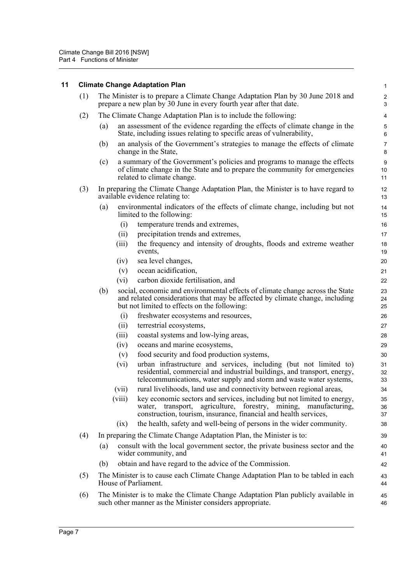<span id="page-11-0"></span>

| 11 |     |                                                                                                                                                        | <b>Climate Change Adaptation Plan</b>                                                                                                                                                                                                                                                                | $\mathbf{1}$         |  |  |  |  |  |
|----|-----|--------------------------------------------------------------------------------------------------------------------------------------------------------|------------------------------------------------------------------------------------------------------------------------------------------------------------------------------------------------------------------------------------------------------------------------------------------------------|----------------------|--|--|--|--|--|
|    | (1) | The Minister is to prepare a Climate Change Adaptation Plan by 30 June 2018 and<br>prepare a new plan by 30 June in every fourth year after that date. |                                                                                                                                                                                                                                                                                                      |                      |  |  |  |  |  |
|    | (2) | The Climate Change Adaptation Plan is to include the following:                                                                                        |                                                                                                                                                                                                                                                                                                      |                      |  |  |  |  |  |
|    |     | (a)                                                                                                                                                    | an assessment of the evidence regarding the effects of climate change in the<br>State, including issues relating to specific areas of vulnerability,                                                                                                                                                 | 5<br>6               |  |  |  |  |  |
|    |     | (b)                                                                                                                                                    | an analysis of the Government's strategies to manage the effects of climate<br>change in the State,                                                                                                                                                                                                  | $\overline{7}$<br>8  |  |  |  |  |  |
|    |     | (c)                                                                                                                                                    | a summary of the Government's policies and programs to manage the effects<br>of climate change in the State and to prepare the community for emergencies<br>related to climate change.                                                                                                               | 9<br>10<br>11        |  |  |  |  |  |
|    | (3) |                                                                                                                                                        | In preparing the Climate Change Adaptation Plan, the Minister is to have regard to<br>available evidence relating to:                                                                                                                                                                                | 12<br>13             |  |  |  |  |  |
|    |     | (a)                                                                                                                                                    | environmental indicators of the effects of climate change, including but not<br>limited to the following:                                                                                                                                                                                            | 14<br>15             |  |  |  |  |  |
|    |     |                                                                                                                                                        | temperature trends and extremes,<br>(i)                                                                                                                                                                                                                                                              | 16                   |  |  |  |  |  |
|    |     |                                                                                                                                                        | precipitation trends and extremes,<br>(ii)                                                                                                                                                                                                                                                           | 17                   |  |  |  |  |  |
|    |     |                                                                                                                                                        | the frequency and intensity of droughts, floods and extreme weather<br>(iii)<br>events,                                                                                                                                                                                                              | 18<br>19             |  |  |  |  |  |
|    |     |                                                                                                                                                        | sea level changes,<br>(iv)                                                                                                                                                                                                                                                                           | 20                   |  |  |  |  |  |
|    |     |                                                                                                                                                        | ocean acidification,<br>(v)                                                                                                                                                                                                                                                                          | 21                   |  |  |  |  |  |
|    |     |                                                                                                                                                        | carbon dioxide fertilisation, and<br>(vi)                                                                                                                                                                                                                                                            | 22                   |  |  |  |  |  |
|    |     | (b)                                                                                                                                                    | social, economic and environmental effects of climate change across the State<br>and related considerations that may be affected by climate change, including<br>but not limited to effects on the following:                                                                                        | 23<br>24<br>25       |  |  |  |  |  |
|    |     |                                                                                                                                                        | (i)<br>freshwater ecosystems and resources,                                                                                                                                                                                                                                                          | 26                   |  |  |  |  |  |
|    |     |                                                                                                                                                        | (ii)<br>terrestrial ecosystems,                                                                                                                                                                                                                                                                      | 27                   |  |  |  |  |  |
|    |     |                                                                                                                                                        | coastal systems and low-lying areas,<br>(iii)                                                                                                                                                                                                                                                        | 28                   |  |  |  |  |  |
|    |     |                                                                                                                                                        | oceans and marine ecosystems,<br>(iv)                                                                                                                                                                                                                                                                | 29                   |  |  |  |  |  |
|    |     |                                                                                                                                                        | food security and food production systems,<br>(v)                                                                                                                                                                                                                                                    | 30                   |  |  |  |  |  |
|    |     | (vii)                                                                                                                                                  | urban infrastructure and services, including (but not limited to)<br>(vi)<br>residential, commercial and industrial buildings, and transport, energy,<br>telecommunications, water supply and storm and waste water systems,<br>rural livelihoods, land use and connectivity between regional areas, | 31<br>32<br>33<br>34 |  |  |  |  |  |
|    |     | (viii)                                                                                                                                                 | key economic sectors and services, including but not limited to energy,<br>agriculture, forestry, mining, manufacturing,<br>water, transport,<br>construction, tourism, insurance, financial and health services,                                                                                    | 35<br>36<br>37       |  |  |  |  |  |
|    |     |                                                                                                                                                        | the health, safety and well-being of persons in the wider community.<br>(ix)                                                                                                                                                                                                                         | 38                   |  |  |  |  |  |
|    | (4) |                                                                                                                                                        | In preparing the Climate Change Adaptation Plan, the Minister is to:                                                                                                                                                                                                                                 | 39                   |  |  |  |  |  |
|    |     | consult with the local government sector, the private business sector and the<br>(a)<br>wider community, and                                           |                                                                                                                                                                                                                                                                                                      |                      |  |  |  |  |  |
|    |     | (b)                                                                                                                                                    | obtain and have regard to the advice of the Commission.                                                                                                                                                                                                                                              | 42                   |  |  |  |  |  |
|    | (5) |                                                                                                                                                        | The Minister is to cause each Climate Change Adaptation Plan to be tabled in each<br>House of Parliament.                                                                                                                                                                                            | 43<br>44             |  |  |  |  |  |
|    | (6) |                                                                                                                                                        | The Minister is to make the Climate Change Adaptation Plan publicly available in<br>such other manner as the Minister considers appropriate.                                                                                                                                                         | 45<br>46             |  |  |  |  |  |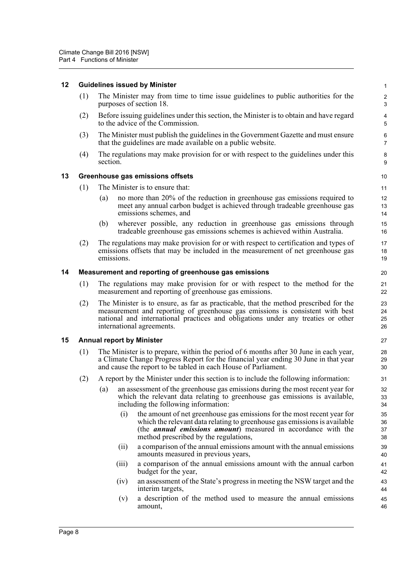#### <span id="page-12-0"></span>**12 Guidelines issued by Minister**

(1) The Minister may from time to time issue guidelines to public authorities for the purposes of section 18.

- (2) Before issuing guidelines under this section, the Minister is to obtain and have regard to the advice of the Commission.
- (3) The Minister must publish the guidelines in the Government Gazette and must ensure that the guidelines are made available on a public website.
- (4) The regulations may make provision for or with respect to the guidelines under this section.

#### <span id="page-12-1"></span>**13 Greenhouse gas emissions offsets**

- (1) The Minister is to ensure that:
	- (a) no more than 20% of the reduction in greenhouse gas emissions required to meet any annual carbon budget is achieved through tradeable greenhouse gas emissions schemes, and
	- (b) wherever possible, any reduction in greenhouse gas emissions through tradeable greenhouse gas emissions schemes is achieved within Australia.
- (2) The regulations may make provision for or with respect to certification and types of emissions offsets that may be included in the measurement of net greenhouse gas emissions.

#### <span id="page-12-2"></span>**14 Measurement and reporting of greenhouse gas emissions**

- (1) The regulations may make provision for or with respect to the method for the measurement and reporting of greenhouse gas emissions.
- (2) The Minister is to ensure, as far as practicable, that the method prescribed for the measurement and reporting of greenhouse gas emissions is consistent with best national and international practices and obligations under any treaties or other international agreements.

#### <span id="page-12-3"></span>**15 Annual report by Minister**

- (1) The Minister is to prepare, within the period of 6 months after 30 June in each year, a Climate Change Progress Report for the financial year ending 30 June in that year and cause the report to be tabled in each House of Parliament.
- (2) A report by the Minister under this section is to include the following information:
	- (a) an assessment of the greenhouse gas emissions during the most recent year for which the relevant data relating to greenhouse gas emissions is available, including the following information:
		- (i) the amount of net greenhouse gas emissions for the most recent year for which the relevant data relating to greenhouse gas emissions is available (the *annual emissions amount*) measured in accordance with the method prescribed by the regulations,
		- (ii) a comparison of the annual emissions amount with the annual emissions amounts measured in previous years,
		- (iii) a comparison of the annual emissions amount with the annual carbon budget for the year,
		- (iv) an assessment of the State's progress in meeting the NSW target and the interim targets,
		- (v) a description of the method used to measure the annual emissions amount,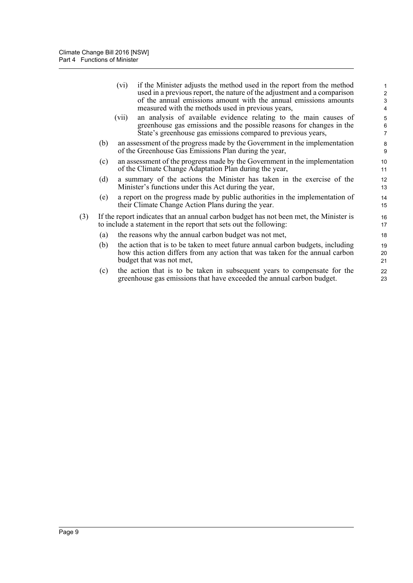|     |     | if the Minister adjusts the method used in the report from the method<br>(vi)<br>used in a previous report, the nature of the adjustment and a comparison<br>of the annual emissions amount with the annual emissions amounts<br>measured with the methods used in previous years, | $\mathbf{1}$<br>$\overline{2}$<br>3<br>4 |
|-----|-----|------------------------------------------------------------------------------------------------------------------------------------------------------------------------------------------------------------------------------------------------------------------------------------|------------------------------------------|
|     |     | an analysis of available evidence relating to the main causes of<br>(vii)<br>greenhouse gas emissions and the possible reasons for changes in the<br>State's greenhouse gas emissions compared to previous years,                                                                  | 5<br>6<br>$\overline{7}$                 |
|     | (b) | an assessment of the progress made by the Government in the implementation<br>of the Greenhouse Gas Emissions Plan during the year,                                                                                                                                                | 8<br>9                                   |
|     | (c) | an assessment of the progress made by the Government in the implementation<br>of the Climate Change Adaptation Plan during the year,                                                                                                                                               | 10 <sup>°</sup><br>11                    |
|     | (d) | a summary of the actions the Minister has taken in the exercise of the<br>Minister's functions under this Act during the year,                                                                                                                                                     | 12<br>13                                 |
|     | (e) | a report on the progress made by public authorities in the implementation of<br>their Climate Change Action Plans during the year.                                                                                                                                                 | 14<br>15                                 |
| (3) |     | If the report indicates that an annual carbon budget has not been met, the Minister is<br>to include a statement in the report that sets out the following:                                                                                                                        | 16<br>17                                 |
|     | (a) | the reasons why the annual carbon budget was not met,                                                                                                                                                                                                                              | 18                                       |
|     | (b) | the action that is to be taken to meet future annual carbon budgets, including<br>how this action differs from any action that was taken for the annual carbon<br>budget that was not met,                                                                                         | 19<br>20<br>21                           |
|     | (c) | the action that is to be taken in subsequent years to compensate for the<br>greenhouse gas emissions that have exceeded the annual carbon budget.                                                                                                                                  | 22<br>23                                 |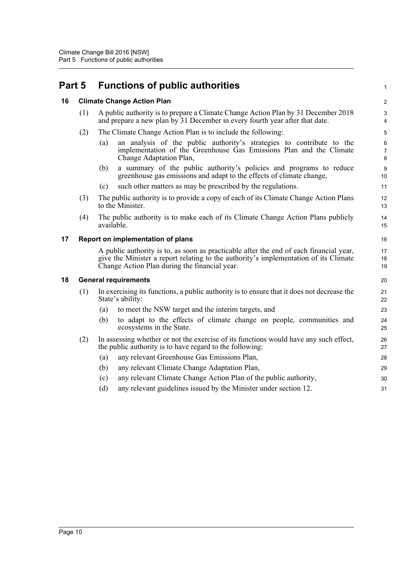<span id="page-14-3"></span><span id="page-14-2"></span><span id="page-14-1"></span><span id="page-14-0"></span>

| Part 5 |                                   | <b>Functions of public authorities</b>                                                                                                                                                                                          |                |  |  |  |  |  |
|--------|-----------------------------------|---------------------------------------------------------------------------------------------------------------------------------------------------------------------------------------------------------------------------------|----------------|--|--|--|--|--|
| 16     |                                   | <b>Climate Change Action Plan</b>                                                                                                                                                                                               | $\overline{a}$ |  |  |  |  |  |
|        | (1)                               | A public authority is to prepare a Climate Change Action Plan by 31 December 2018<br>and prepare a new plan by 31 December in every fourth year after that date.                                                                |                |  |  |  |  |  |
|        | (2)                               | The Climate Change Action Plan is to include the following:                                                                                                                                                                     | 5              |  |  |  |  |  |
|        |                                   | an analysis of the public authority's strategies to contribute to the<br>(a)<br>implementation of the Greenhouse Gas Emissions Plan and the Climate<br>Change Adaptation Plan,                                                  | 6<br>7<br>8    |  |  |  |  |  |
|        |                                   | a summary of the public authority's policies and programs to reduce<br>(b)<br>greenhouse gas emissions and adapt to the effects of climate change,                                                                              | 9<br>10        |  |  |  |  |  |
|        |                                   | such other matters as may be prescribed by the regulations.<br>(c)                                                                                                                                                              | 11             |  |  |  |  |  |
|        | (3)                               | The public authority is to provide a copy of each of its Climate Change Action Plans<br>to the Minister.                                                                                                                        | 12<br>13       |  |  |  |  |  |
|        | (4)                               | The public authority is to make each of its Climate Change Action Plans publicly<br>available.                                                                                                                                  | 14<br>15       |  |  |  |  |  |
| 17     | Report on implementation of plans |                                                                                                                                                                                                                                 |                |  |  |  |  |  |
|        |                                   | A public authority is to, as soon as practicable after the end of each financial year,<br>give the Minister a report relating to the authority's implementation of its Climate<br>Change Action Plan during the financial year. | 17<br>18<br>19 |  |  |  |  |  |
| 18     |                                   | <b>General requirements</b>                                                                                                                                                                                                     | 20             |  |  |  |  |  |
|        | (1)                               | In exercising its functions, a public authority is to ensure that it does not decrease the<br>State's ability:                                                                                                                  | 21<br>22       |  |  |  |  |  |
|        |                                   | to meet the NSW target and the interim targets, and<br>(a)                                                                                                                                                                      | 23             |  |  |  |  |  |
|        |                                   | to adapt to the effects of climate change on people, communities and<br>(b)<br>ecosystems in the State.                                                                                                                         | 24<br>25       |  |  |  |  |  |
|        | (2)                               | In assessing whether or not the exercise of its functions would have any such effect,<br>the public authority is to have regard to the following:                                                                               | 26<br>27       |  |  |  |  |  |
|        |                                   | any relevant Greenhouse Gas Emissions Plan,<br>(a)                                                                                                                                                                              | 28             |  |  |  |  |  |
|        |                                   | any relevant Climate Change Adaptation Plan,<br>(b)                                                                                                                                                                             | 29             |  |  |  |  |  |
|        |                                   | any relevant Climate Change Action Plan of the public authority,<br>(c)                                                                                                                                                         | 30             |  |  |  |  |  |
|        |                                   | any relevant guidelines issued by the Minister under section 12.<br>(d)                                                                                                                                                         | 31             |  |  |  |  |  |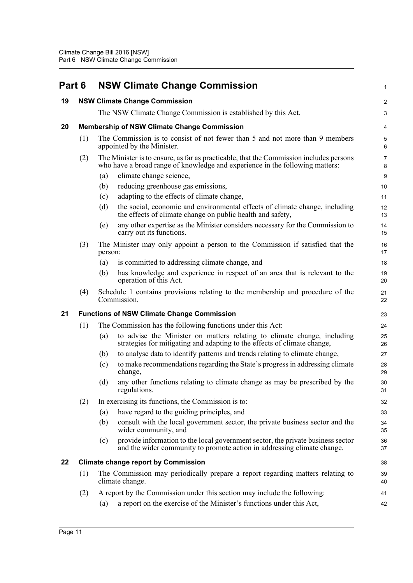<span id="page-15-4"></span><span id="page-15-3"></span><span id="page-15-2"></span><span id="page-15-1"></span><span id="page-15-0"></span>

| Part 6 |                                                    | <b>NSW Climate Change Commission</b>                                                                                                                                   | 1                       |  |  |  |  |  |
|--------|----------------------------------------------------|------------------------------------------------------------------------------------------------------------------------------------------------------------------------|-------------------------|--|--|--|--|--|
| 19     |                                                    | <b>NSW Climate Change Commission</b>                                                                                                                                   | $\overline{\mathbf{c}}$ |  |  |  |  |  |
|        |                                                    | The NSW Climate Change Commission is established by this Act.                                                                                                          | 3                       |  |  |  |  |  |
| 20     | <b>Membership of NSW Climate Change Commission</b> |                                                                                                                                                                        |                         |  |  |  |  |  |
|        | (1)                                                | The Commission is to consist of not fewer than 5 and not more than 9 members<br>appointed by the Minister.                                                             | $\mathbf 5$<br>6        |  |  |  |  |  |
|        | (2)                                                | The Minister is to ensure, as far as practicable, that the Commission includes persons<br>who have a broad range of knowledge and experience in the following matters: | $\overline{7}$<br>8     |  |  |  |  |  |
|        |                                                    | climate change science,<br>(a)                                                                                                                                         | 9                       |  |  |  |  |  |
|        |                                                    | reducing greenhouse gas emissions,<br>(b)                                                                                                                              | 10                      |  |  |  |  |  |
|        |                                                    | adapting to the effects of climate change,<br>(c)                                                                                                                      | 11                      |  |  |  |  |  |
|        |                                                    | the social, economic and environmental effects of climate change, including<br>(d)<br>the effects of climate change on public health and safety,                       | 12<br>13                |  |  |  |  |  |
|        |                                                    | any other expertise as the Minister considers necessary for the Commission to<br>(e)<br>carry out its functions.                                                       | 14<br>15                |  |  |  |  |  |
|        | (3)                                                | The Minister may only appoint a person to the Commission if satisfied that the<br>person:                                                                              | 16<br>17                |  |  |  |  |  |
|        |                                                    | is committed to addressing climate change, and<br>(a)                                                                                                                  | 18                      |  |  |  |  |  |
|        |                                                    | has knowledge and experience in respect of an area that is relevant to the<br>(b)<br>operation of this Act.                                                            | 19<br>20                |  |  |  |  |  |
|        | (4)                                                | Schedule 1 contains provisions relating to the membership and procedure of the<br>Commission.                                                                          | 21<br>22                |  |  |  |  |  |
| 21     | <b>Functions of NSW Climate Change Commission</b>  |                                                                                                                                                                        |                         |  |  |  |  |  |
|        | (1)                                                | The Commission has the following functions under this Act:                                                                                                             | 24                      |  |  |  |  |  |
|        |                                                    | to advise the Minister on matters relating to climate change, including<br>(a)<br>strategies for mitigating and adapting to the effects of climate change,             | 25<br>26                |  |  |  |  |  |
|        |                                                    | to analyse data to identify patterns and trends relating to climate change,<br>(b)                                                                                     | 27                      |  |  |  |  |  |
|        |                                                    | to make recommendations regarding the State's progress in addressing climate<br>(c)<br>change,                                                                         | 28<br>29                |  |  |  |  |  |
|        |                                                    | any other functions relating to climate change as may be prescribed by the<br>(d)<br>regulations.                                                                      | 30<br>31                |  |  |  |  |  |
|        | (2)                                                | In exercising its functions, the Commission is to:                                                                                                                     | 32                      |  |  |  |  |  |
|        |                                                    | have regard to the guiding principles, and<br>(a)                                                                                                                      | 33                      |  |  |  |  |  |
|        |                                                    | (b)<br>consult with the local government sector, the private business sector and the<br>wider community, and                                                           | 34<br>35                |  |  |  |  |  |
|        |                                                    | provide information to the local government sector, the private business sector<br>(c)<br>and the wider community to promote action in addressing climate change.      | 36<br>37                |  |  |  |  |  |
| 22     |                                                    | <b>Climate change report by Commission</b>                                                                                                                             | 38                      |  |  |  |  |  |
|        | (1)                                                | The Commission may periodically prepare a report regarding matters relating to<br>climate change.                                                                      | 39<br>40                |  |  |  |  |  |
|        | (2)                                                | A report by the Commission under this section may include the following:                                                                                               | 41                      |  |  |  |  |  |
|        |                                                    | a report on the exercise of the Minister's functions under this Act,<br>(a)                                                                                            | 42                      |  |  |  |  |  |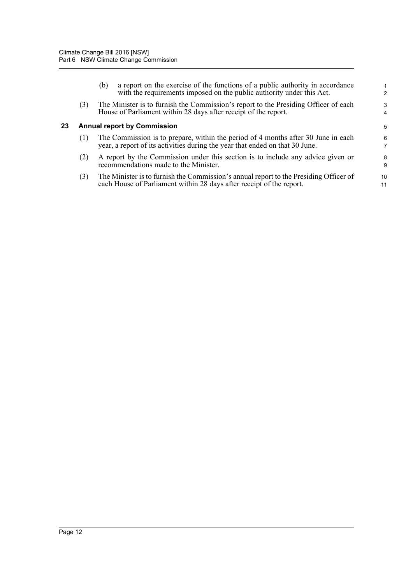<span id="page-16-0"></span>

|    |     | a report on the exercise of the functions of a public authority in accordance<br>(b)<br>with the requirements imposed on the public authority under this Act.     |          |
|----|-----|-------------------------------------------------------------------------------------------------------------------------------------------------------------------|----------|
|    | (3) | The Minister is to furnish the Commission's report to the Presiding Officer of each<br>House of Parliament within 28 days after receipt of the report.            | 3<br>4   |
| 23 |     | <b>Annual report by Commission</b>                                                                                                                                | 5        |
|    | (1) | The Commission is to prepare, within the period of 4 months after 30 June in each<br>year, a report of its activities during the year that ended on that 30 June. | 6        |
|    | (2) | A report by the Commission under this section is to include any advice given or<br>recommendations made to the Minister.                                          | 8<br>9   |
|    | (3) | The Minister is to furnish the Commission's annual report to the Presiding Officer of<br>each House of Parliament within 28 days after receipt of the report.     | 10<br>11 |
|    |     |                                                                                                                                                                   |          |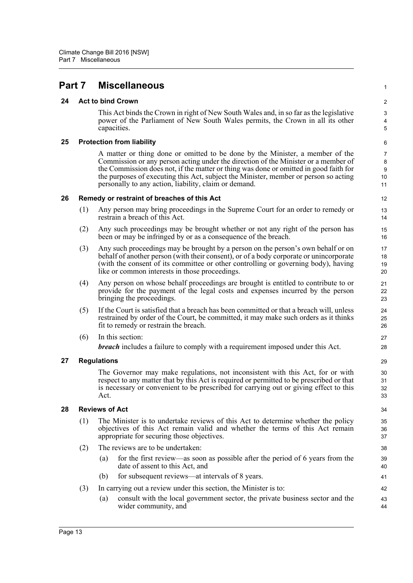## <span id="page-17-0"></span>**Part 7 Miscellaneous**

#### <span id="page-17-1"></span>**24 Act to bind Crown**

This Act binds the Crown in right of New South Wales and, in so far as the legislative power of the Parliament of New South Wales permits, the Crown in all its other capacities.

1

#### <span id="page-17-2"></span>**25 Protection from liability**

A matter or thing done or omitted to be done by the Minister, a member of the Commission or any person acting under the direction of the Minister or a member of the Commission does not, if the matter or thing was done or omitted in good faith for the purposes of executing this Act, subject the Minister, member or person so acting personally to any action, liability, claim or demand.

#### <span id="page-17-3"></span>**26 Remedy or restraint of breaches of this Act**

- (1) Any person may bring proceedings in the Supreme Court for an order to remedy or restrain a breach of this Act.
- (2) Any such proceedings may be brought whether or not any right of the person has been or may be infringed by or as a consequence of the breach.
- (3) Any such proceedings may be brought by a person on the person's own behalf or on behalf of another person (with their consent), or of a body corporate or unincorporate (with the consent of its committee or other controlling or governing body), having like or common interests in those proceedings.
- (4) Any person on whose behalf proceedings are brought is entitled to contribute to or provide for the payment of the legal costs and expenses incurred by the person bringing the proceedings.
- (5) If the Court is satisfied that a breach has been committed or that a breach will, unless restrained by order of the Court, be committed, it may make such orders as it thinks fit to remedy or restrain the breach.
- (6) In this section:

*breach* includes a failure to comply with a requirement imposed under this Act.

#### <span id="page-17-4"></span>**27 Regulations**

The Governor may make regulations, not inconsistent with this Act, for or with respect to any matter that by this Act is required or permitted to be prescribed or that is necessary or convenient to be prescribed for carrying out or giving effect to this Act.

#### <span id="page-17-5"></span>**28 Reviews of Act**

- (1) The Minister is to undertake reviews of this Act to determine whether the policy objectives of this Act remain valid and whether the terms of this Act remain appropriate for securing those objectives.
- (2) The reviews are to be undertaken:
	- (a) for the first review—as soon as possible after the period of 6 years from the date of assent to this Act, and
	- (b) for subsequent reviews—at intervals of 8 years.
- (3) In carrying out a review under this section, the Minister is to:
	- (a) consult with the local government sector, the private business sector and the wider community, and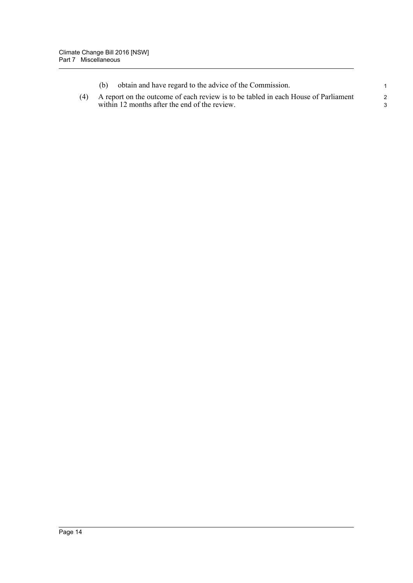|  | obtain and have regard to the advice of the Commission.                                                                                 |   |
|--|-----------------------------------------------------------------------------------------------------------------------------------------|---|
|  | (4) A report on the outcome of each review is to be tabled in each House of Parliament<br>within 12 months after the end of the review. | 2 |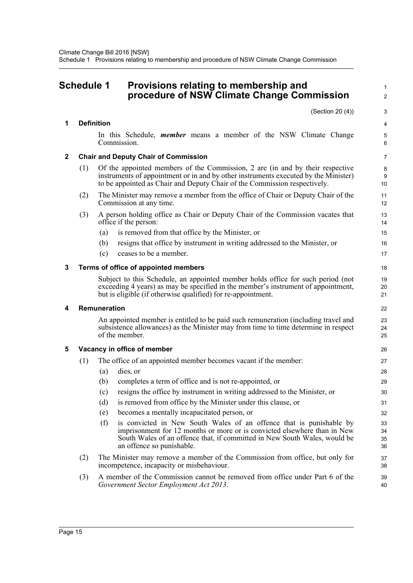### <span id="page-19-0"></span>**Schedule 1 Provisions relating to membership and procedure of NSW Climate Change Commission**

1  $\overline{2}$ 

|   |              | (Section 20 (4))                                                                                                                                                                                                                                                 | 3                     |  |  |  |  |  |  |
|---|--------------|------------------------------------------------------------------------------------------------------------------------------------------------------------------------------------------------------------------------------------------------------------------|-----------------------|--|--|--|--|--|--|
| 1 |              | <b>Definition</b>                                                                                                                                                                                                                                                | 4                     |  |  |  |  |  |  |
|   |              | In this Schedule, <i>member</i> means a member of the NSW Climate Change<br>Commission.                                                                                                                                                                          | 5<br>6                |  |  |  |  |  |  |
| 2 |              | <b>Chair and Deputy Chair of Commission</b>                                                                                                                                                                                                                      | 7                     |  |  |  |  |  |  |
|   | (1)          | Of the appointed members of the Commission, 2 are (in and by their respective<br>instruments of appointment or in and by other instruments executed by the Minister)<br>to be appointed as Chair and Deputy Chair of the Commission respectively.                | 8<br>9<br>10          |  |  |  |  |  |  |
|   | (2)          | The Minister may remove a member from the office of Chair or Deputy Chair of the<br>Commission at any time.                                                                                                                                                      | 11<br>12 <sup>2</sup> |  |  |  |  |  |  |
|   | (3)          | A person holding office as Chair or Deputy Chair of the Commission vacates that<br>office if the person:                                                                                                                                                         | 13<br>14              |  |  |  |  |  |  |
|   |              | is removed from that office by the Minister, or<br>(a)                                                                                                                                                                                                           | 15                    |  |  |  |  |  |  |
|   |              | resigns that office by instrument in writing addressed to the Minister, or<br>(b)                                                                                                                                                                                | 16                    |  |  |  |  |  |  |
|   |              | ceases to be a member.<br>(c)                                                                                                                                                                                                                                    | 17                    |  |  |  |  |  |  |
| 3 |              | Terms of office of appointed members                                                                                                                                                                                                                             | 18                    |  |  |  |  |  |  |
|   |              | Subject to this Schedule, an appointed member holds office for such period (not<br>exceeding 4 years) as may be specified in the member's instrument of appointment,<br>but is eligible (if otherwise qualified) for re-appointment.                             |                       |  |  |  |  |  |  |
| 4 | Remuneration |                                                                                                                                                                                                                                                                  |                       |  |  |  |  |  |  |
|   |              | An appointed member is entitled to be paid such remuneration (including travel and<br>subsistence allowances) as the Minister may from time to time determine in respect<br>of the member.                                                                       | 23<br>24<br>25        |  |  |  |  |  |  |
| 5 |              | Vacancy in office of member                                                                                                                                                                                                                                      | 26                    |  |  |  |  |  |  |
|   | (1)          | The office of an appointed member becomes vacant if the member:                                                                                                                                                                                                  | 27                    |  |  |  |  |  |  |
|   |              | dies, or<br>(a)                                                                                                                                                                                                                                                  | 28                    |  |  |  |  |  |  |
|   |              | completes a term of office and is not re-appointed, or<br>(b)                                                                                                                                                                                                    | 29                    |  |  |  |  |  |  |
|   |              | resigns the office by instrument in writing addressed to the Minister, or<br>(c)                                                                                                                                                                                 | 30                    |  |  |  |  |  |  |
|   |              | is removed from office by the Minister under this clause, or<br>(d)                                                                                                                                                                                              | 31                    |  |  |  |  |  |  |
|   |              | becomes a mentally incapacitated person, or<br>(e)                                                                                                                                                                                                               | 32                    |  |  |  |  |  |  |
|   |              | (f)<br>is convicted in New South Wales of an offence that is punishable by<br>imprisonment for 12 months or more or is convicted elsewhere than in New<br>South Wales of an offence that, if committed in New South Wales, would be<br>an offence so punishable. | 33<br>34<br>35<br>36  |  |  |  |  |  |  |
|   | (2)          | The Minister may remove a member of the Commission from office, but only for<br>incompetence, incapacity or misbehaviour.                                                                                                                                        | 37<br>38              |  |  |  |  |  |  |
|   | (3)          | A member of the Commission cannot be removed from office under Part 6 of the<br>Government Sector Employment Act 2013.                                                                                                                                           | 39<br>40              |  |  |  |  |  |  |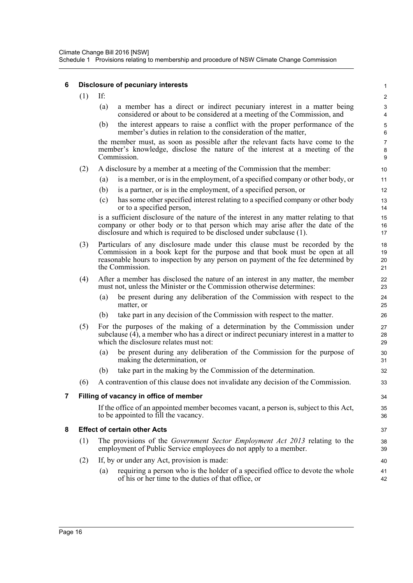#### **6 Disclosure of pecuniary interests**

(1) If:

|  |  |  |  | (a) a member has a direct or indirect pecuniary interest in a matter being |  |  |  |
|--|--|--|--|----------------------------------------------------------------------------|--|--|--|
|  |  |  |  | considered or about to be considered at a meeting of the Commission, and   |  |  |  |

(b) the interest appears to raise a conflict with the proper performance of the member's duties in relation to the consideration of the matter,

the member must, as soon as possible after the relevant facts have come to the member's knowledge, disclose the nature of the interest at a meeting of the **Commission** 

- (2) A disclosure by a member at a meeting of the Commission that the member:
	- (a) is a member, or is in the employment, of a specified company or other body, or
	- (b) is a partner, or is in the employment, of a specified person, or
	- (c) has some other specified interest relating to a specified company or other body or to a specified person,

is a sufficient disclosure of the nature of the interest in any matter relating to that company or other body or to that person which may arise after the date of the disclosure and which is required to be disclosed under subclause (1).

- (3) Particulars of any disclosure made under this clause must be recorded by the Commission in a book kept for the purpose and that book must be open at all reasonable hours to inspection by any person on payment of the fee determined by the Commission.
- (4) After a member has disclosed the nature of an interest in any matter, the member must not, unless the Minister or the Commission otherwise determines:
	- (a) be present during any deliberation of the Commission with respect to the matter, or
	- (b) take part in any decision of the Commission with respect to the matter.
- (5) For the purposes of the making of a determination by the Commission under subclause (4), a member who has a direct or indirect pecuniary interest in a matter to which the disclosure relates must not:
	- (a) be present during any deliberation of the Commission for the purpose of making the determination, or
	- (b) take part in the making by the Commission of the determination.
- (6) A contravention of this clause does not invalidate any decision of the Commission.

#### **7 Filling of vacancy in office of member**

If the office of an appointed member becomes vacant, a person is, subject to this Act, to be appointed to fill the vacancy.

#### **8 Effect of certain other Acts**

- (1) The provisions of the *Government Sector Employment Act 2013* relating to the employment of Public Service employees do not apply to a member.
- (2) If, by or under any Act, provision is made:
	- (a) requiring a person who is the holder of a specified office to devote the whole of his or her time to the duties of that office, or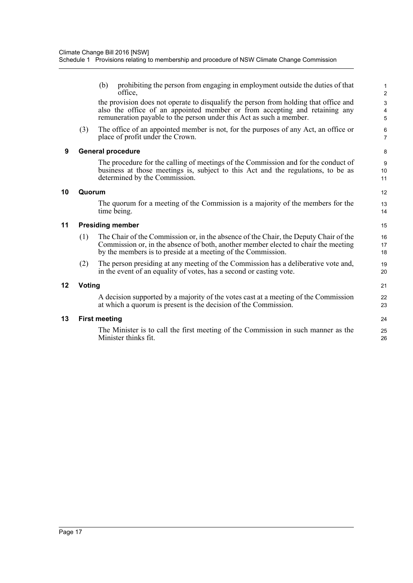(b) prohibiting the person from engaging in employment outside the duties of that office,

the provision does not operate to disqualify the person from holding that office and also the office of an appointed member or from accepting and retaining any remuneration payable to the person under this Act as such a member.

(3) The office of an appointed member is not, for the purposes of any Act, an office or place of profit under the Crown.

#### **9 General procedure**

The procedure for the calling of meetings of the Commission and for the conduct of business at those meetings is, subject to this Act and the regulations, to be as determined by the Commission.

#### **10 Quorum**

The quorum for a meeting of the Commission is a majority of the members for the time being.

#### **11 Presiding member**

- (1) The Chair of the Commission or, in the absence of the Chair, the Deputy Chair of the Commission or, in the absence of both, another member elected to chair the meeting by the members is to preside at a meeting of the Commission.
- (2) The person presiding at any meeting of the Commission has a deliberative vote and, in the event of an equality of votes, has a second or casting vote.

#### **12 Voting**

A decision supported by a majority of the votes cast at a meeting of the Commission at which a quorum is present is the decision of the Commission.

#### **13 First meeting**

The Minister is to call the first meeting of the Commission in such manner as the Minister thinks fit.